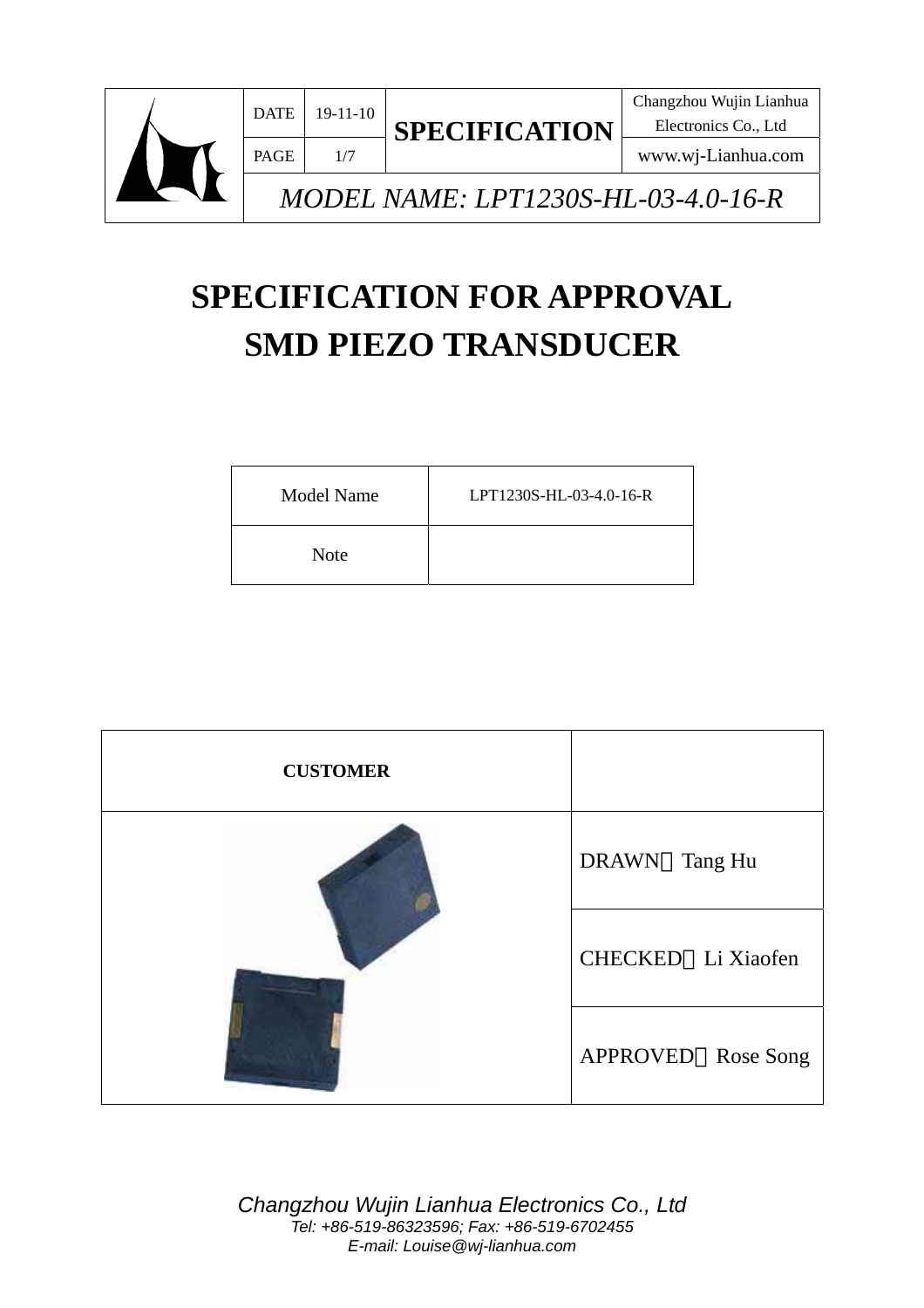

Electronics Co., Ltd

www.wj-Lianhua.com

*MODEL NAME: LPT1230S-HL-03-4.0-16-R* 

# **SPECIFICATION FOR APPROVAL SMD PIEZO TRANSDUCER**

| <b>Model Name</b> | LPT1230S-HL-03-4.0-16-R |
|-------------------|-------------------------|
| <b>Note</b>       |                         |

| <b>CUSTOMER</b> |                    |
|-----------------|--------------------|
|                 | DRAWN Tang Hu      |
|                 | CHECKED Li Xiaofen |
|                 | APPROVED Rose Song |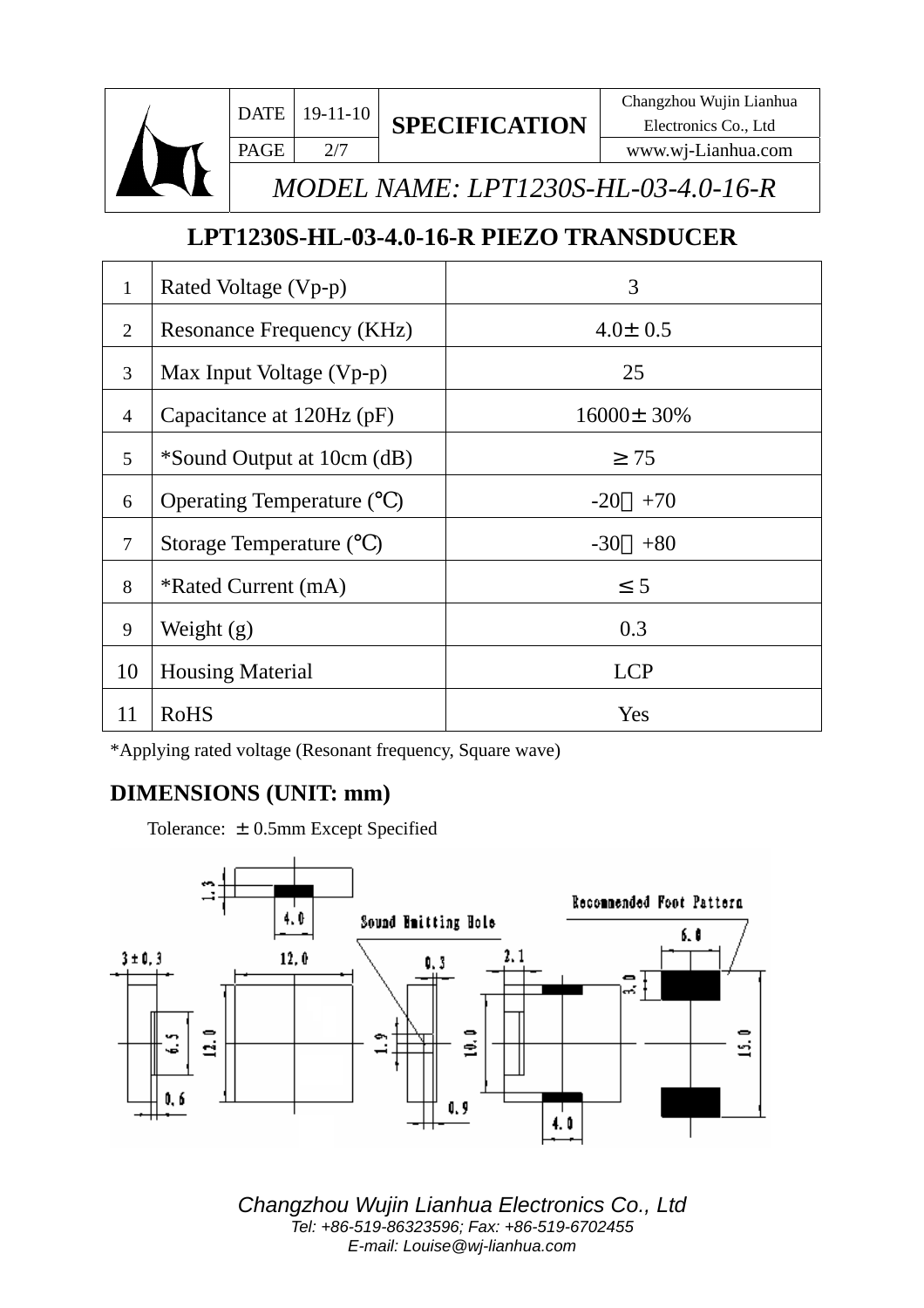

PAGE  $2/7$ **SPECIFICATION**

 $\mathbf{DATE}$  19-11-10  $\sigma$ Electronics Co., Ltd www.wj-Lianhua.com

*MODEL NAME: LPT1230S-HL-03-4.0-16-R*

# **LPT1230S-HL-03-4.0-16-R PIEZO TRANSDUCER**

| $\mathbf{1}$   | Rated Voltage (Vp-p)             | 3                |  |
|----------------|----------------------------------|------------------|--|
| $\overline{2}$ | <b>Resonance Frequency (KHz)</b> | $4.0 \pm 0.5$    |  |
| 3              | Max Input Voltage (Vp-p)         | 25               |  |
| $\overline{4}$ | Capacitance at 120Hz (pF)        | $16000 \pm 30\%$ |  |
| $\mathfrak{S}$ | *Sound Output at 10cm (dB)       | 75               |  |
| 6              | <b>Operating Temperature</b> ()  | $-20$<br>$+70$   |  |
| $\overline{7}$ | Storage Temperature ()           | $-30$<br>$+80$   |  |
| 8              | *Rated Current (mA)              | 5                |  |
| 9              | Weight $(g)$                     | 0.3              |  |
| 10             | <b>Housing Material</b>          | <b>LCP</b>       |  |
| 11             | <b>RoHS</b>                      | Yes              |  |

\*Applying rated voltage (Resonant frequency, Square wave)

#### **DIMENSIONS (UNIT: mm)**

Tolerance:  $\pm$  0.5mm Except Specified

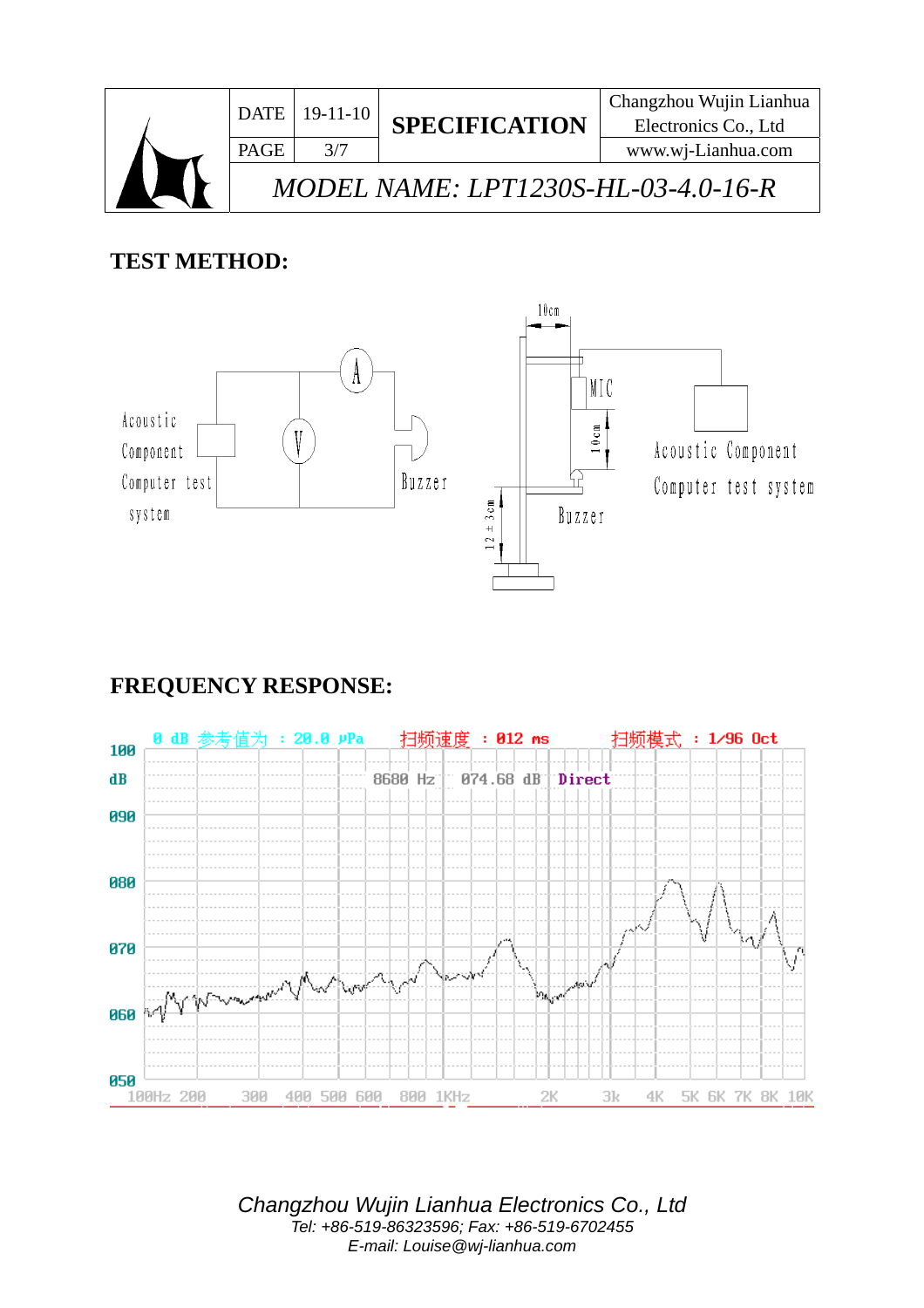

#### **TEST METHOD:**



# **FREQUENCY RESPONSE:**

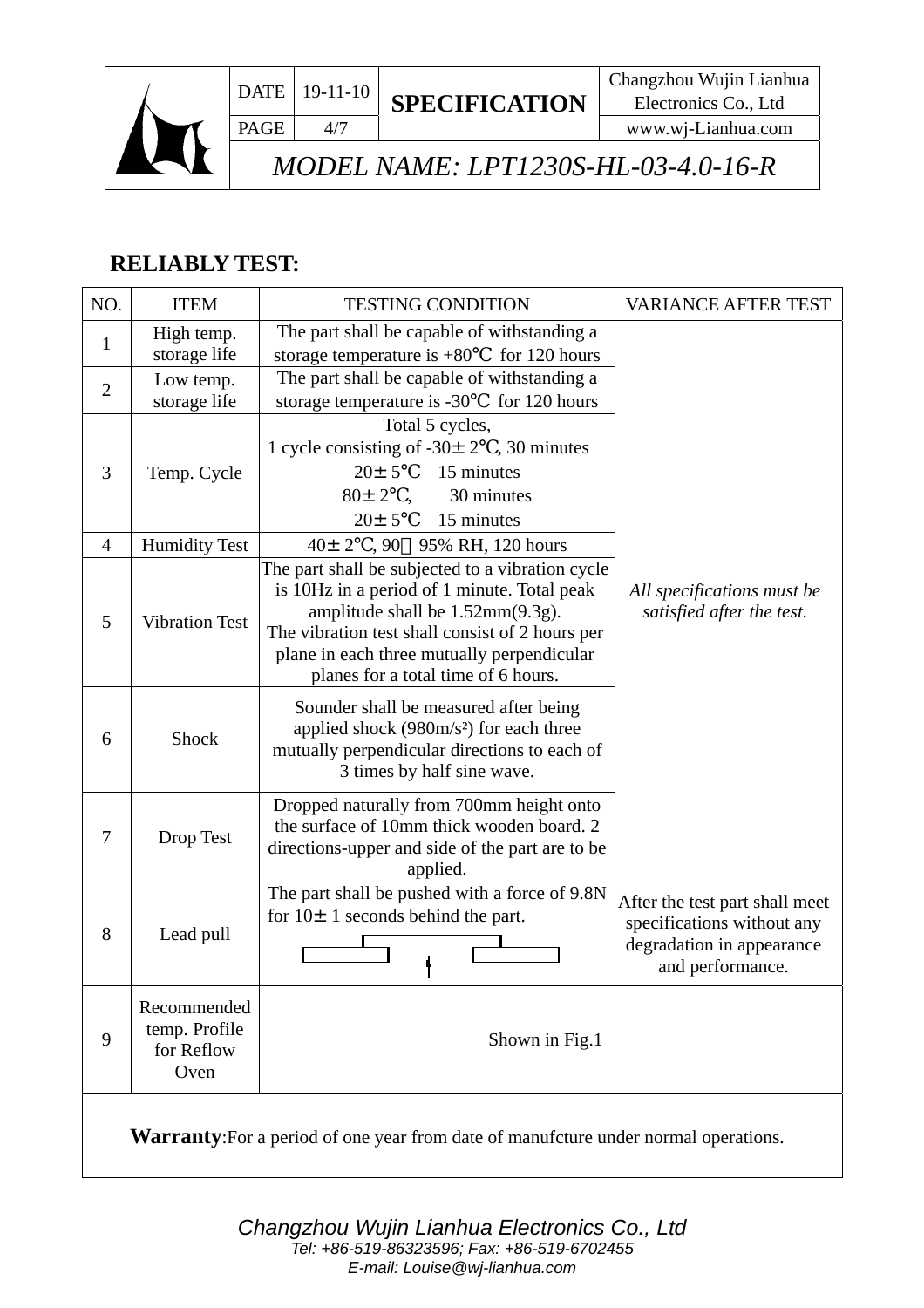

www.wj-Lianhua.com

# *MODEL NAME: LPT1230S-HL-03-4.0-16-R*

## **RELIABLY TEST:**

| NO.                                                                                        | <b>ITEM</b>                                        | <b>TESTING CONDITION</b>                                                                                                                                                                                                                                                                                                                          | <b>VARIANCE AFTER TEST</b>                                                                                    |  |
|--------------------------------------------------------------------------------------------|----------------------------------------------------|---------------------------------------------------------------------------------------------------------------------------------------------------------------------------------------------------------------------------------------------------------------------------------------------------------------------------------------------------|---------------------------------------------------------------------------------------------------------------|--|
| 1                                                                                          | High temp.<br>storage life                         | The part shall be capable of withstanding a<br>storage temperature is $+80$<br>for 120 hours                                                                                                                                                                                                                                                      |                                                                                                               |  |
| $\overline{2}$                                                                             | Low temp.<br>storage life                          | The part shall be capable of withstanding a<br>storage temperature is -30<br>for 120 hours                                                                                                                                                                                                                                                        |                                                                                                               |  |
| 3                                                                                          | Temp. Cycle                                        | Total 5 cycles,<br>1 cycle consisting of $-30 \pm 2$ , 30 minutes<br>$20 \pm 5$<br>15 minutes<br>$80 \pm 2$ ,<br>30 minutes<br>15 minutes<br>$20 \pm 5$                                                                                                                                                                                           |                                                                                                               |  |
| $\overline{4}$                                                                             | <b>Humidity Test</b>                               | $40 \pm 2$ , 90 95% RH, 120 hours                                                                                                                                                                                                                                                                                                                 |                                                                                                               |  |
| 5                                                                                          | <b>Vibration Test</b>                              | The part shall be subjected to a vibration cycle<br>is 10Hz in a period of 1 minute. Total peak<br>All specifications must be<br>amplitude shall be $1.52 \text{mm}(9.3g)$ .<br>satisfied after the test.<br>The vibration test shall consist of 2 hours per<br>plane in each three mutually perpendicular<br>planes for a total time of 6 hours. |                                                                                                               |  |
| 6                                                                                          | <b>Shock</b>                                       | Sounder shall be measured after being<br>applied shock $(980 \text{m/s}^2)$ for each three<br>mutually perpendicular directions to each of<br>3 times by half sine wave.                                                                                                                                                                          |                                                                                                               |  |
| 7                                                                                          | Drop Test                                          | Dropped naturally from 700mm height onto<br>the surface of 10mm thick wooden board. 2<br>directions-upper and side of the part are to be<br>applied.                                                                                                                                                                                              |                                                                                                               |  |
| 8                                                                                          | Lead pull                                          | The part shall be pushed with a force of 9.8N<br>for $10 \pm 1$ seconds behind the part.                                                                                                                                                                                                                                                          | After the test part shall meet<br>specifications without any<br>degradation in appearance<br>and performance. |  |
| 9                                                                                          | Recommended<br>temp. Profile<br>for Reflow<br>Oven | Shown in Fig.1                                                                                                                                                                                                                                                                                                                                    |                                                                                                               |  |
| <b>Warranty:</b> For a period of one year from date of manufcture under normal operations. |                                                    |                                                                                                                                                                                                                                                                                                                                                   |                                                                                                               |  |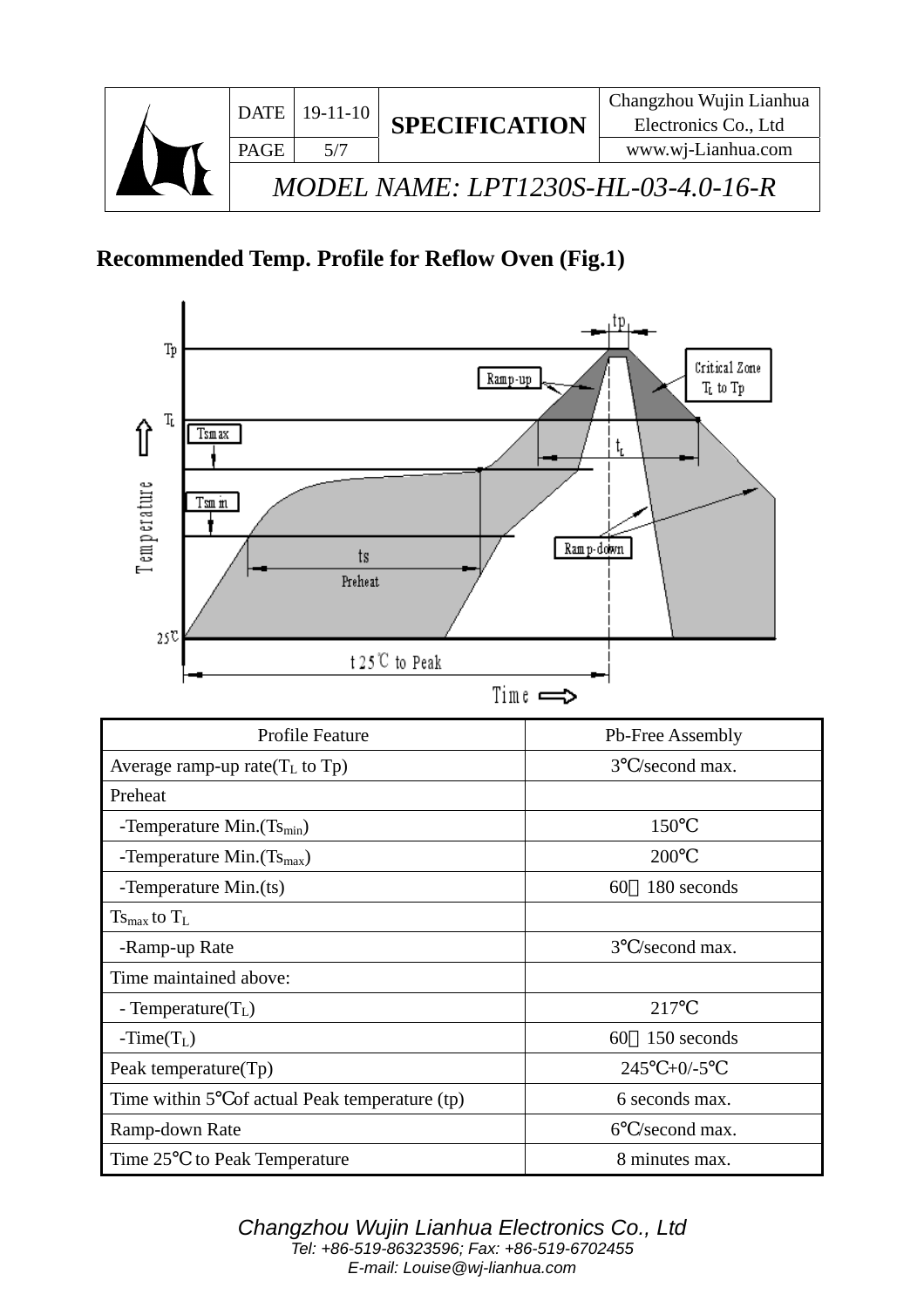

# **Recommended Temp. Profile for Reflow Oven (Fig.1)**

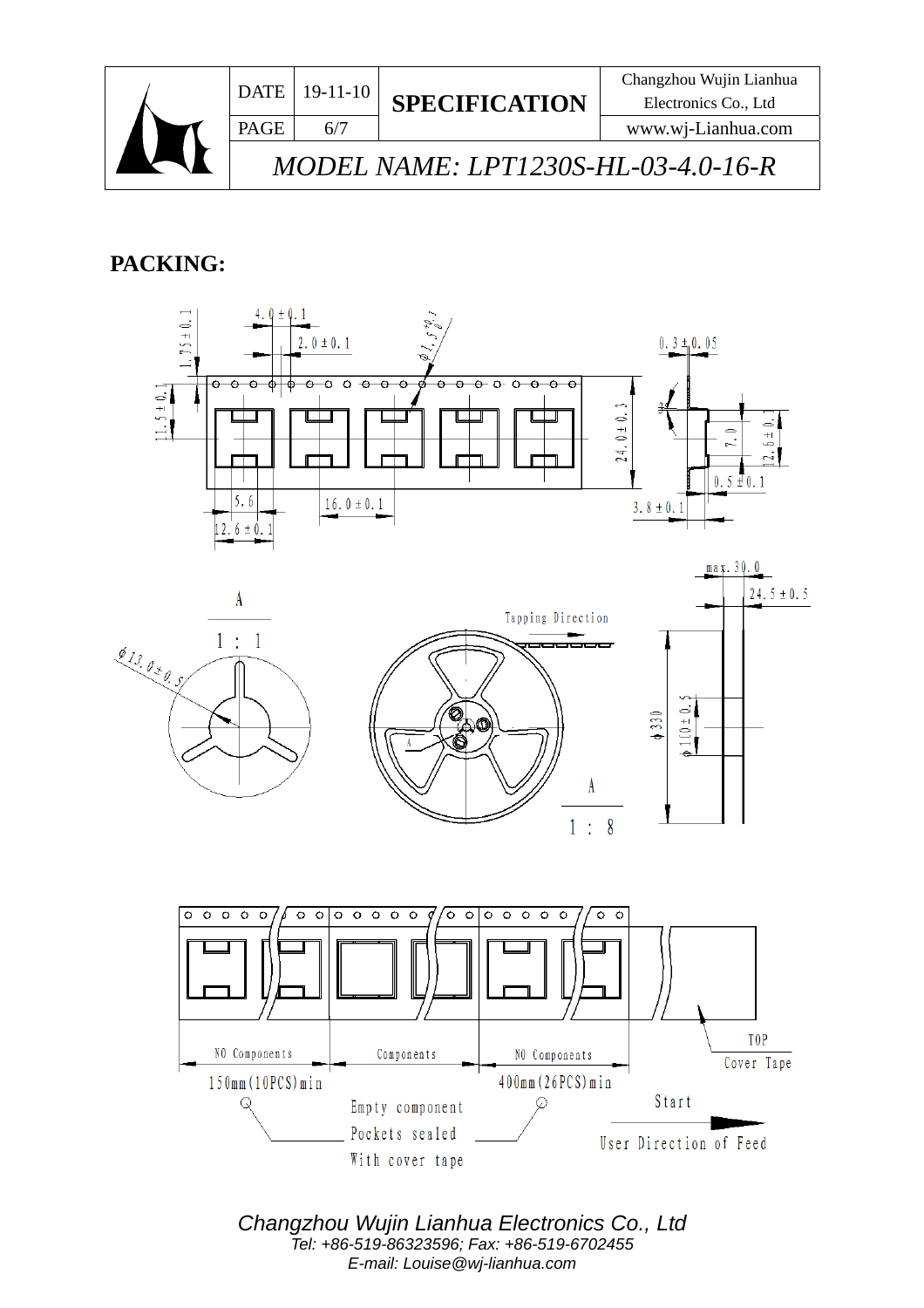

## **PACKING:**